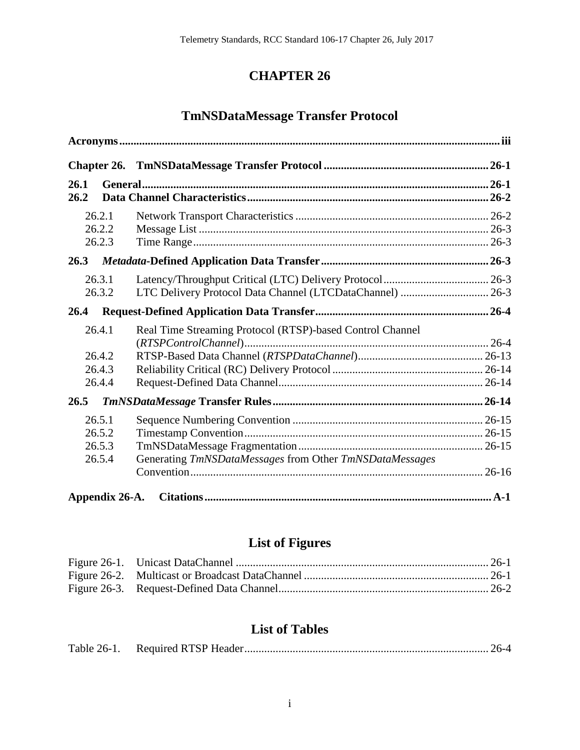# **CHAPTER 26**

# **TmNSDataMessage Transfer Protocol**

| 26.1<br>26.2 |                                      |                                                           |  |
|--------------|--------------------------------------|-----------------------------------------------------------|--|
|              | 26.2.1<br>26.2.2<br>26.2.3           |                                                           |  |
| 26.3         |                                      |                                                           |  |
|              | 26.3.1<br>26.3.2                     | LTC Delivery Protocol Data Channel (LTCDataChannel)  26-3 |  |
| 26.4         |                                      |                                                           |  |
|              | 26.4.1<br>26.4.2<br>26.4.3<br>26.4.4 | Real Time Streaming Protocol (RTSP)-based Control Channel |  |
| 26.5         |                                      |                                                           |  |
|              | 26.5.1<br>26.5.2<br>26.5.3<br>26.5.4 | Generating TmNSDataMessages from Other TmNSDataMessages   |  |
|              | Appendix 26-A.                       |                                                           |  |

# **List of Figures**

# **List of Tables**

| Table 26-1. |  |  |
|-------------|--|--|
|-------------|--|--|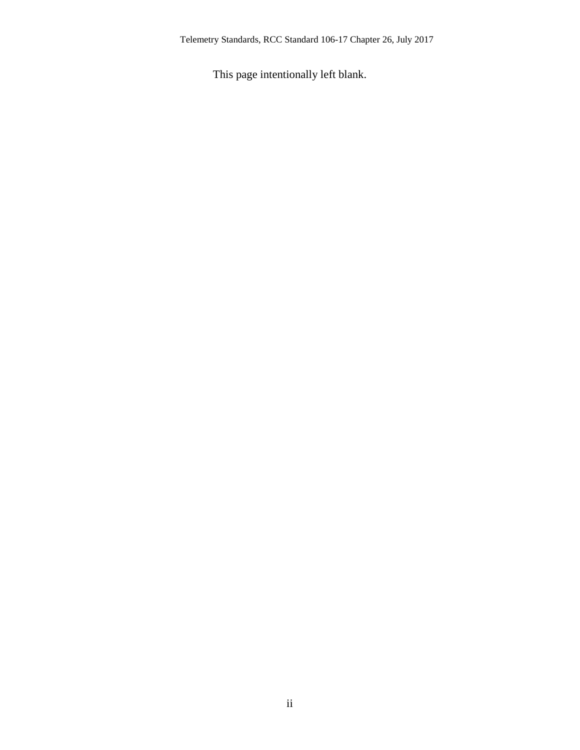Telemetry Standards, RCC Standard 106-17 Chapter 26, July 2017

This page intentionally left blank.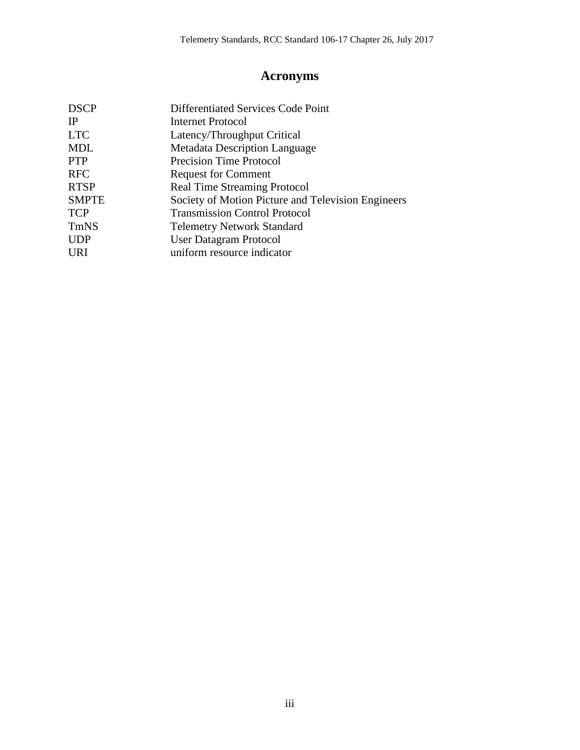# <span id="page-2-0"></span>**Acronyms**

| <b>DSCP</b>  | Differentiated Services Code Point                 |
|--------------|----------------------------------------------------|
| <b>IP</b>    | <b>Internet Protocol</b>                           |
| <b>LTC</b>   | Latency/Throughput Critical                        |
| <b>MDL</b>   | <b>Metadata Description Language</b>               |
| <b>PTP</b>   | <b>Precision Time Protocol</b>                     |
| <b>RFC</b>   | <b>Request for Comment</b>                         |
| <b>RTSP</b>  | <b>Real Time Streaming Protocol</b>                |
| <b>SMPTE</b> | Society of Motion Picture and Television Engineers |
| <b>TCP</b>   | <b>Transmission Control Protocol</b>               |
| <b>TmNS</b>  | <b>Telemetry Network Standard</b>                  |
| <b>UDP</b>   | <b>User Datagram Protocol</b>                      |
| URI          | uniform resource indicator                         |
|              |                                                    |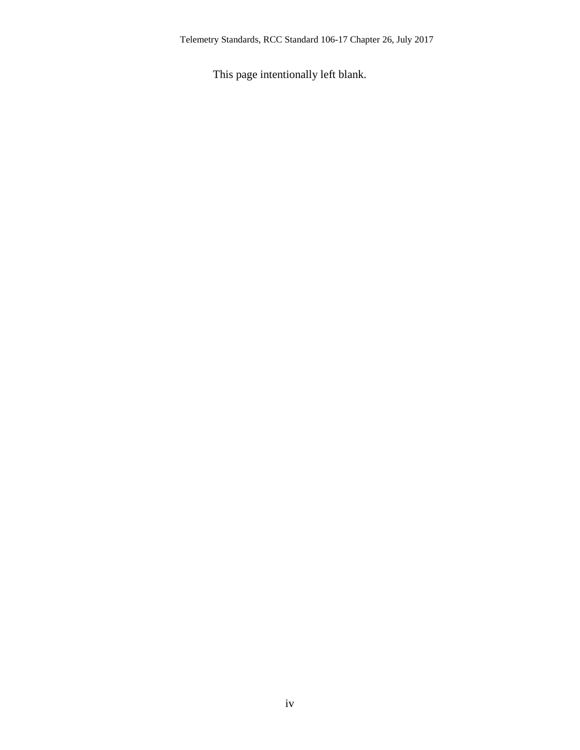Telemetry Standards, RCC Standard 106-17 Chapter 26, July 2017

This page intentionally left blank.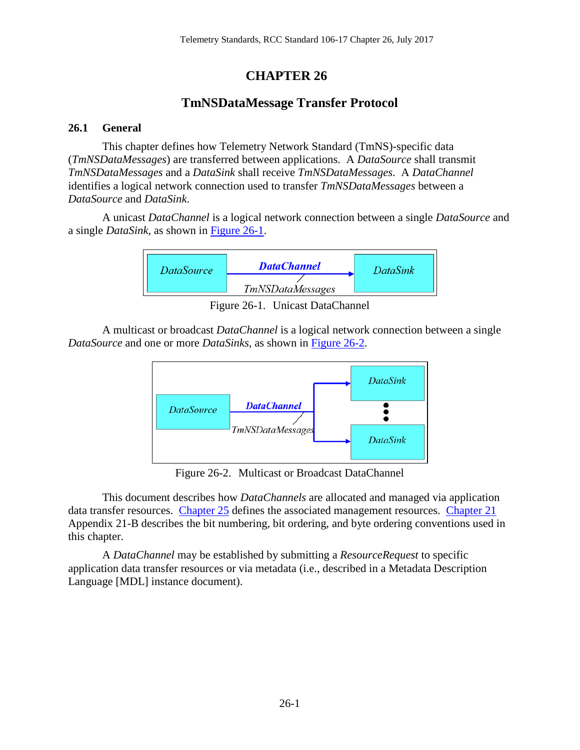## <span id="page-4-0"></span>**CHAPTER 26**

## **TmNSDataMessage Transfer Protocol**

### <span id="page-4-1"></span>**26.1 General**

This chapter defines how Telemetry Network Standard (TmNS)-specific data (*TmNSDataMessages*) are transferred between applications. A *DataSource* shall transmit *TmNSDataMessages* and a *DataSink* shall receive *TmNSDataMessages*. A *DataChannel* identifies a logical network connection used to transfer *TmNSDataMessages* between a *DataSource* and *DataSink*.

A unicast *DataChannel* is a logical network connection between a single *DataSource* and a single *DataSink*, as shown in [Figure 26-1.](#page-4-2)



Figure 26-1. Unicast DataChannel

<span id="page-4-2"></span>A multicast or broadcast *DataChannel* is a logical network connection between a single *DataSource* and one or more *DataSinks*, as shown in [Figure 26-2.](#page-4-3)



Figure 26-2. Multicast or Broadcast DataChannel

<span id="page-4-3"></span>This document describes how *DataChannels* are allocated and managed via application data transfer resources. [Chapter 25](http://www.wsmr.army.mil/RCCsite/Documents/106-17_Telemetry_Standards/Chapter25.pdf) defines the associated management resources. [Chapter 21](http://www.wsmr.army.mil/RCCsite/Documents/106-17_Telemetry_Standards/Chapter21.pdf) Appendix 21-B describes the bit numbering, bit ordering, and byte ordering conventions used in this chapter.

A *DataChannel* may be established by submitting a *ResourceRequest* to specific application data transfer resources or via metadata (i.e., described in a Metadata Description Language [MDL] instance document).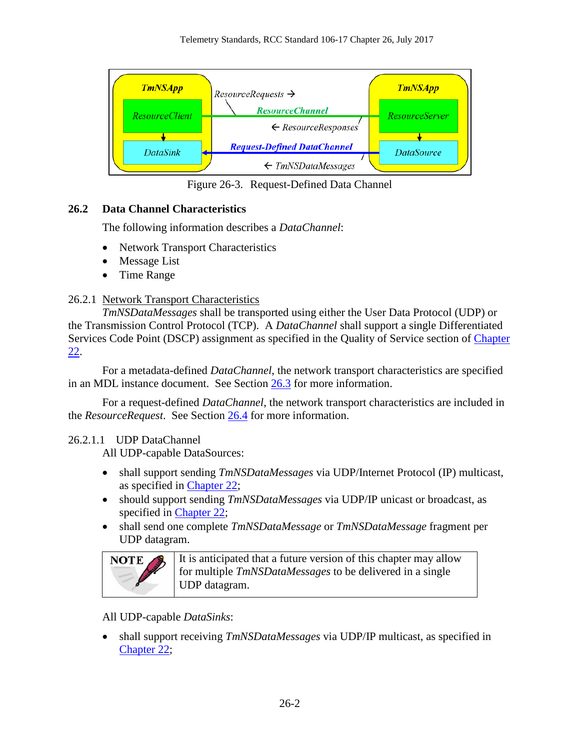

Figure 26-3. Request-Defined Data Channel

### <span id="page-5-2"></span><span id="page-5-0"></span>**26.2 Data Channel Characteristics**

The following information describes a *DataChannel*:

- Network Transport Characteristics
- Message List
- Time Range

### <span id="page-5-1"></span>26.2.1 Network Transport Characteristics

*TmNSDataMessages* shall be transported using either the User Data Protocol (UDP) or the Transmission Control Protocol (TCP). A *DataChannel* shall support a single Differentiated Services Code Point (DSCP) assignment as specified in the Quality of Service section of [Chapter](http://www.wsmr.army.mil/RCCsite/Documents/106-17_Telemetry_Standards/Chapter22.pdf)  [22.](http://www.wsmr.army.mil/RCCsite/Documents/106-17_Telemetry_Standards/Chapter22.pdf)

For a metadata-defined *DataChannel*, the network transport characteristics are specified in an MDL instance document. See Section [26.3](#page-6-2) for more information.

For a request-defined *DataChannel*, the network transport characteristics are included in the *ResourceRequest*. See Section [26.4](#page-7-0) for more information.

### <span id="page-5-3"></span>26.2.1.1 UDP DataChannel

All UDP-capable DataSources:

- shall support sending *TmNSDataMessages* via UDP/Internet Protocol (IP) multicast, as specified in [Chapter 22;](http://www.wsmr.army.mil/RCCsite/Documents/106-17_Telemetry_Standards/Chapter22.pdf)
- should support sending *TmNSDataMessages* via UDP/IP unicast or broadcast, as specified in [Chapter 22;](http://www.wsmr.army.mil/RCCsite/Documents/106-17_Telemetry_Standards/Chapter22.pdf)
- shall send one complete *TmNSDataMessage* or *TmNSDataMessage* fragment per UDP datagram.



It is anticipated that a future version of this chapter may allow for multiple *TmNSDataMessages* to be delivered in a single UDP datagram.

All UDP-capable *DataSinks*:

• shall support receiving *TmNSDataMessages* via UDP/IP multicast, as specified in [Chapter 22;](http://www.wsmr.army.mil/RCCsite/Documents/106-17_Telemetry_Standards/Chapter22.pdf)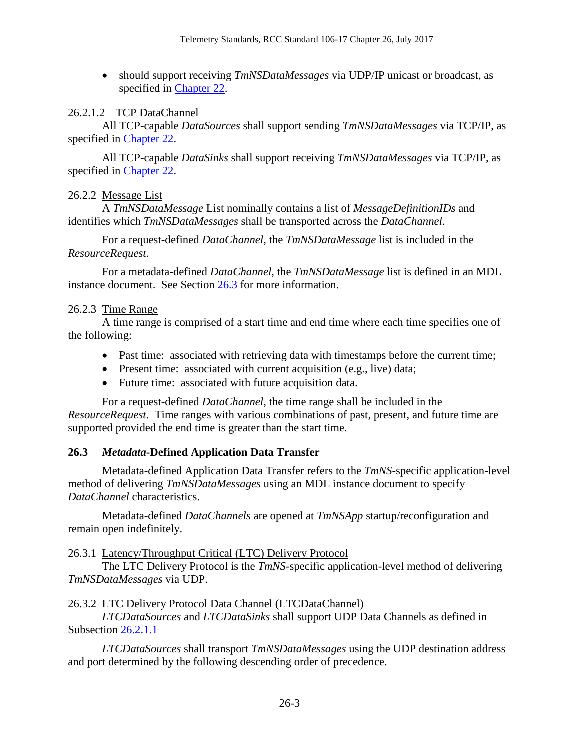• should support receiving *TmNSDataMessages* via UDP/IP unicast or broadcast, as specified in [Chapter 22.](http://www.wsmr.army.mil/RCCsite/Documents/106-17_Telemetry_Standards/Chapter22.pdf)

### 26.2.1.2 TCP DataChannel

All TCP-capable *DataSources* shall support sending *TmNSDataMessages* via TCP/IP, as specified in [Chapter 22.](http://www.wsmr.army.mil/RCCsite/Documents/106-17_Telemetry_Standards/Chapter22.pdf)

All TCP-capable *DataSinks* shall support receiving *TmNSDataMessages* via TCP/IP, as specified in [Chapter 22.](http://www.wsmr.army.mil/RCCsite/Documents/106-17_Telemetry_Standards/Chapter22.pdf)

### <span id="page-6-0"></span>26.2.2 Message List

A *TmNSDataMessage* List nominally contains a list of *MessageDefinitionIDs* and identifies which *TmNSDataMessages* shall be transported across the *DataChannel*.

For a request-defined *DataChannel*, the *TmNSDataMessage* list is included in the *ResourceRequest*.

For a metadata-defined *DataChannel*, the *TmNSDataMessage* list is defined in an MDL instance document. See Section [26.3](#page-6-2) for more information.

### <span id="page-6-1"></span>26.2.3 Time Range

A time range is comprised of a start time and end time where each time specifies one of the following:

- Past time: associated with retrieving data with timestamps before the current time;
- Present time: associated with current acquisition (e.g., live) data;
- Future time: associated with future acquisition data.

For a request-defined *DataChannel*, the time range shall be included in the *ResourceRequest*. Time ranges with various combinations of past, present, and future time are supported provided the end time is greater than the start time.

### <span id="page-6-2"></span>**26.3** *Metadata***-Defined Application Data Transfer**

Metadata-defined Application Data Transfer refers to the *TmNS*-specific application-level method of delivering *TmNSDataMessages* using an MDL instance document to specify *DataChannel* characteristics.

Metadata-defined *DataChannels* are opened at *TmNSApp* startup/reconfiguration and remain open indefinitely.

### <span id="page-6-3"></span>26.3.1 Latency/Throughput Critical (LTC) Delivery Protocol

The LTC Delivery Protocol is the *TmNS*-specific application-level method of delivering *TmNSDataMessages* via UDP.

### <span id="page-6-4"></span>26.3.2 LTC Delivery Protocol Data Channel (LTCDataChannel)

*LTCDataSources* and *LTCDataSinks* shall support UDP Data Channels as defined in Subsection [26.2.1.1](#page-5-3)

*LTCDataSources* shall transport *TmNSDataMessages* using the UDP destination address and port determined by the following descending order of precedence.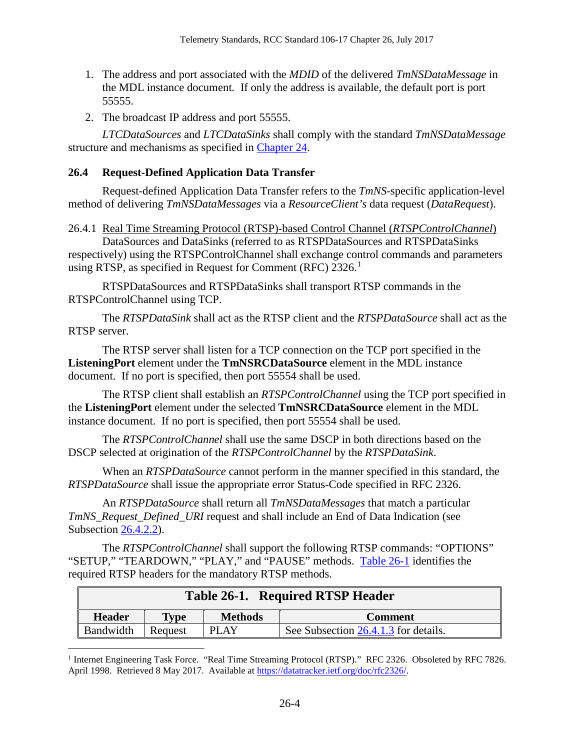- 1. The address and port associated with the *MDID* of the delivered *TmNSDataMessage* in the MDL instance document*.* If only the address is available, the default port is port 55555.
- 2. The broadcast IP address and port 55555.

*LTCDataSources* and *LTCDataSinks* shall comply with the standard *TmNSDataMessage*  structure and mechanisms as specified in [Chapter 24.](http://www.wsmr.army.mil/RCCsite/Documents/106-17_Telemetry_Standards/Chapter24.pdf)

### <span id="page-7-0"></span>**26.4 Request-Defined Application Data Transfer**

Request-defined Application Data Transfer refers to the *TmNS*-specific application-level method of delivering *TmNSDataMessages* via a *ResourceClient's* data request (*DataRequest*).

<span id="page-7-1"></span>26.4.1 Real Time Streaming Protocol (RTSP)-based Control Channel (*RTSPControlChannel*) DataSources and DataSinks (referred to as RTSPDataSources and RTSPDataSinks

respectively) using the RTSPControlChannel shall exchange control commands and parameters using RTSP, as specified in Request for Comment (RFC) 2326.<sup>[1](#page-7-3)</sup>

RTSPDataSources and RTSPDataSinks shall transport RTSP commands in the RTSPControlChannel using TCP.

The *RTSPDataSink* shall act as the RTSP client and the *RTSPDataSource* shall act as the RTSP server.

The RTSP server shall listen for a TCP connection on the TCP port specified in the **ListeningPort** element under the **TmNSRCDataSource** element in the MDL instance document. If no port is specified, then port 55554 shall be used.

The RTSP client shall establish an *RTSPControlChannel* using the TCP port specified in the **ListeningPort** element under the selected **TmNSRCDataSource** element in the MDL instance document. If no port is specified, then port 55554 shall be used.

The *RTSPControlChannel* shall use the same DSCP in both directions based on the DSCP selected at origination of the *RTSPControlChannel* by the *RTSPDataSink*.

When an *RTSPDataSource* cannot perform in the manner specified in this standard, the *RTSPDataSource* shall issue the appropriate error Status-Code specified in RFC 2326.

An *RTSPDataSource* shall return all *TmNSDataMessages* that match a particular *TmNS\_Request\_Defined\_URI* request and shall include an End of Data Indication (see Subsection [26.4.2.2\)](#page-16-1).

The *RTSPControlChannel* shall support the following RTSP commands: "OPTIONS" "SETUP," "TEARDOWN," "PLAY," and "PAUSE" methods. [Table 26-1](#page-7-2) identifies the required RTSP headers for the mandatory RTSP methods.

<span id="page-7-2"></span>

| Table 26-1. Required RTSP Header |             |                |                                      |  |
|----------------------------------|-------------|----------------|--------------------------------------|--|
| <b>Header</b>                    | <b>Type</b> | <b>Methods</b> | <b>Comment</b>                       |  |
| Bandwidth                        | Request     | <b>PLAY</b>    | See Subsection 26.4.1.3 for details. |  |

<span id="page-7-3"></span><sup>1</sup> Internet Engineering Task Force. "Real Time Streaming Protocol (RTSP)." RFC 2326. Obsoleted by RFC 7826. April 1998. Retrieved 8 May 2017. Available at [https://datatracker.ietf.org/doc/rfc2326/.](https://datatracker.ietf.org/doc/rfc2326/)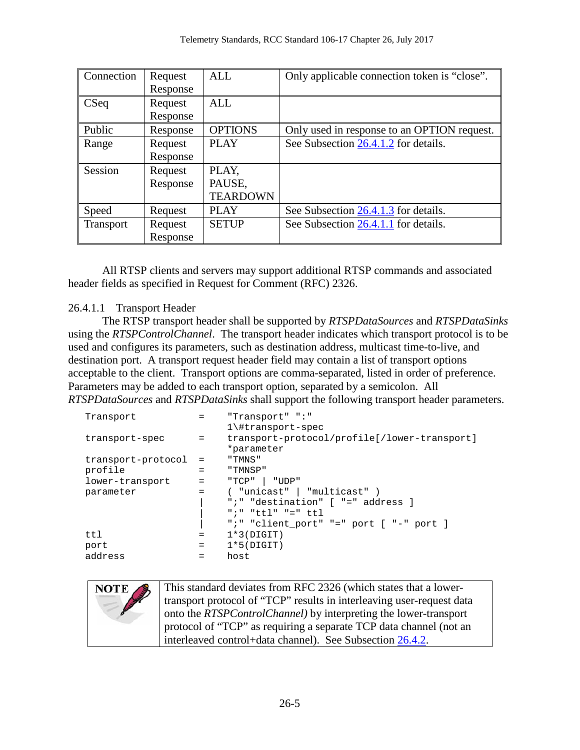| Connection       | Request  | ALL             | Only applicable connection token is "close". |
|------------------|----------|-----------------|----------------------------------------------|
|                  | Response |                 |                                              |
| CSeq             | Request  | <b>ALL</b>      |                                              |
|                  | Response |                 |                                              |
| Public           | Response | <b>OPTIONS</b>  | Only used in response to an OPTION request.  |
| Range            | Request  | <b>PLAY</b>     | See Subsection 26.4.1.2 for details.         |
|                  | Response |                 |                                              |
| Session          | Request  | PLAY,           |                                              |
|                  | Response | PAUSE,          |                                              |
|                  |          | <b>TEARDOWN</b> |                                              |
| Speed            | Request  | <b>PLAY</b>     | See Subsection 26.4.1.3 for details.         |
| <b>Transport</b> | Request  | <b>SETUP</b>    | See Subsection 26.4.1.1 for details.         |
|                  | Response |                 |                                              |

All RTSP clients and servers may support additional RTSP commands and associated header fields as specified in Request for Comment (RFC) 2326.

### <span id="page-8-0"></span>26.4.1.1 Transport Header

The RTSP transport header shall be supported by *RTSPDataSources* and *RTSPDataSinks* using the *RTSPControlChannel*. The transport header indicates which transport protocol is to be used and configures its parameters, such as destination address, multicast time-to-live, and destination port. A transport request header field may contain a list of transport options acceptable to the client. Transport options are comma-separated, listed in order of preference. Parameters may be added to each transport option, separated by a semicolon. All *RTSPDataSources* and *RTSPDataSinks* shall support the following transport header parameters.

| Transport          |     | "Transport" ":"                              |
|--------------------|-----|----------------------------------------------|
|                    |     | $1$ \#transport-spec                         |
| transport-spec     | $=$ | transport-protocol/profile[/lower-transport] |
|                    |     | *parameter                                   |
| transport-protocol | $=$ | " TMNS "                                     |
| profile            | $=$ | "TMNSP"                                      |
| lower-transport    | $=$ | " TCP"<br>"UDP"                              |
| parameter          | $=$ | ( "unicast"   "multicast" )                  |
|                    |     | ";" "destination" [ "=" address ]            |
|                    |     |                                              |
|                    |     | " $i$ " "client_port" "=" port [ "-" port ]  |
| ttl                | $=$ | $1*3(DIGIT)$                                 |
| port               | $=$ | $1*5(DIGIT)$                                 |
| address            | $=$ | host                                         |
|                    |     |                                              |

| NOTE <sub>4</sub> | This standard deviates from RFC 2326 (which states that a lower-         |  |  |  |
|-------------------|--------------------------------------------------------------------------|--|--|--|
| <b>SALL</b>       | transport protocol of "TCP" results in interleaving user-request data    |  |  |  |
|                   | onto the <i>RTSPControlChannel</i> ) by interpreting the lower-transport |  |  |  |
|                   | protocol of "TCP" as requiring a separate TCP data channel (not an       |  |  |  |
|                   | interleaved control+data channel). See Subsection 26.4.2.                |  |  |  |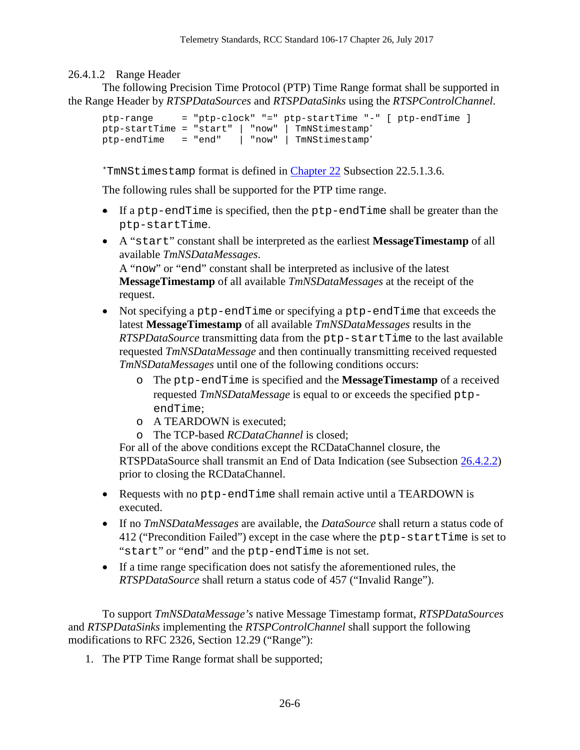### <span id="page-9-0"></span>26.4.1.2 Range Header

The following Precision Time Protocol (PTP) Time Range format shall be supported in the Range Header by *RTSPDataSources* and *RTSPDataSinks* using the *RTSPControlChannel*.

```
ptp-range = "ptp-clock" "=" ptp-startTime "-" [ ptp-endTime ]<br>ptp-startTime = "start" | "now" | TmNStimestamp*
ptp-startTime = "start" | "now" | TmNStimestamp*<br>ptp-endTime = "end" | "now" | TmNStimestamp*
ptp-endTime = "end"
```
\*TmNStimestamp format is defined in [Chapter 22](http://www.wsmr.army.mil/RCCsite/Documents/106-17_Telemetry_Standards/Chapter22.pdf) Subsection 22.5.1.3.6.

The following rules shall be supported for the PTP time range.

- If a ptp-endTime is specified, then the ptp-endTime shall be greater than the ptp-startTime.
- A "start" constant shall be interpreted as the earliest **MessageTimestamp** of all available *TmNSDataMessages*. A "now" or "end" constant shall be interpreted as inclusive of the latest **MessageTimestamp** of all available *TmNSDataMessages* at the receipt of the

request.

- Not specifying a ptp-endTime or specifying a ptp-endTime that exceeds the latest **MessageTimestamp** of all available *TmNSDataMessages* results in the *RTSPDataSource* transmitting data from the ptp-startTime to the last available requested *TmNSDataMessage* and then continually transmitting received requested *TmNSDataMessages* until one of the following conditions occurs:
	- o The ptp-endTime is specified and the **MessageTimestamp** of a received requested *TmNSDataMessage* is equal to or exceeds the specified ptpendTime;
	- o A TEARDOWN is executed;
	- o The TCP-based *RCDataChannel* is closed;

For all of the above conditions except the RCDataChannel closure, the RTSPDataSource shall transmit an End of Data Indication (see Subsection [26.4.2.2\)](#page-16-1) prior to closing the RCDataChannel.

- Requests with no ptp-endTime shall remain active until a TEARDOWN is executed.
- If no *TmNSDataMessages* are available, the *DataSource* shall return a status code of 412 ("Precondition Failed") except in the case where the ptp-startTime is set to "start" or "end" and the ptp-endTime is not set.
- If a time range specification does not satisfy the aforementioned rules, the *RTSPDataSource* shall return a status code of 457 ("Invalid Range").

To support *TmNSDataMessage's* native Message Timestamp format, *RTSPDataSources*  and *RTSPDataSinks* implementing the *RTSPControlChannel* shall support the following modifications to RFC 2326, Section 12.29 ("Range"):

1. The PTP Time Range format shall be supported;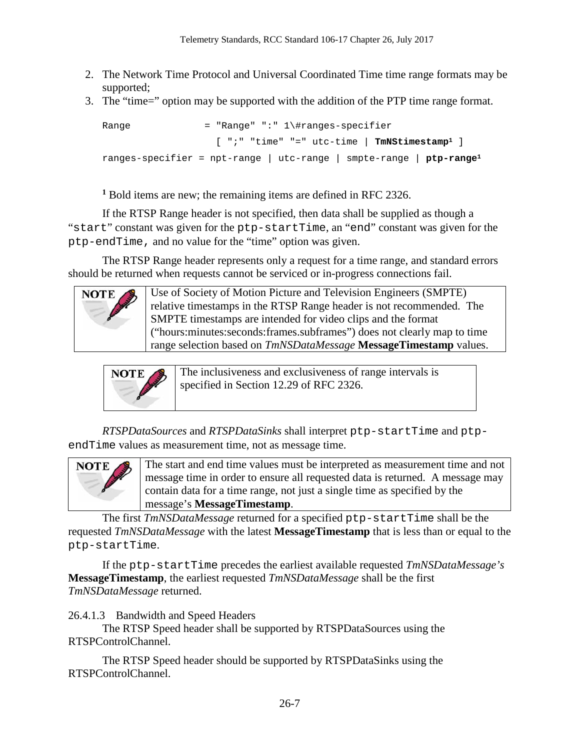- 2. The Network Time Protocol and Universal Coordinated Time time range formats may be supported;
- 3. The "time=" option may be supported with the addition of the PTP time range format.

```
Range = "Range" ":" 1\#ranges-specifier
                    [ ";" "time" "=" utc-time | TmNStimestamp1 ] 
ranges-specifier = npt-range | utc-range | smpte-range | ptp-range1
```
**<sup>1</sup>** Bold items are new; the remaining items are defined in RFC 2326.

If the RTSP Range header is not specified, then data shall be supplied as though a "start" constant was given for the ptp-startTime, an "end" constant was given for the ptp-endTime, and no value for the "time" option was given.

The RTSP Range header represents only a request for a time range, and standard errors should be returned when requests cannot be serviced or in-progress connections fail.



The inclusiveness and exclusiveness of range intervals is specified in Section 12.29 of RFC 2326.

*RTSPDataSources* and *RTSPDataSinks* shall interpret ptp-startTime and ptpendTime values as measurement time, not as message time.



The first *TmNSDataMessage* returned for a specified ptp-startTime shall be the requested *TmNSDataMessage* with the latest **MessageTimestamp** that is less than or equal to the ptp-startTime.

If the ptp-startTime precedes the earliest available requested *TmNSDataMessage's* **MessageTimestamp**, the earliest requested *TmNSDataMessage* shall be the first *TmNSDataMessage* returned.

<span id="page-10-0"></span>26.4.1.3 Bandwidth and Speed Headers

**NOTE** 

The RTSP Speed header shall be supported by RTSPDataSources using the RTSPControlChannel.

The RTSP Speed header should be supported by RTSPDataSinks using the RTSPControlChannel.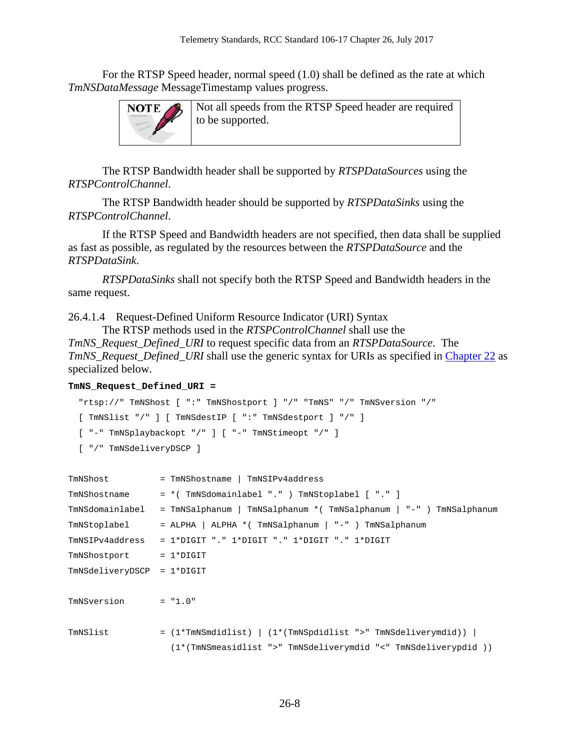For the RTSP Speed header, normal speed (1.0) shall be defined as the rate at which *TmNSDataMessage* MessageTimestamp values progress.



The RTSP Bandwidth header shall be supported by *RTSPDataSources* using the *RTSPControlChannel*.

The RTSP Bandwidth header should be supported by *RTSPDataSinks* using the *RTSPControlChannel*.

If the RTSP Speed and Bandwidth headers are not specified, then data shall be supplied as fast as possible, as regulated by the resources between the *RTSPDataSource* and the *RTSPDataSink*.

*RTSPDataSinks* shall not specify both the RTSP Speed and Bandwidth headers in the same request.

26.4.1.4 Request-Defined Uniform Resource Indicator (URI) Syntax

The RTSP methods used in the *RTSPControlChannel* shall use the *TmNS\_Request\_Defined\_URI* to request specific data from an *RTSPDataSource*. The *TmNS\_Request\_Defined\_URI* shall use the generic syntax for URIs as specified in [Chapter 22](http://www.wsmr.army.mil/RCCsite/Documents/106-17_Telemetry_Standards/Chapter22.pdf) as specialized below.

```
TmNS_Request_Defined_URI =
```

```
 "rtsp://" TmNShost [ ":" TmNShostport ] "/" "TmNS" "/" TmNSversion "/" 
 [ TmNSlist "/" ] [ TmNSdestIP [ ":" TmNSdestport ] "/" ]
 [ "-" TmNSplaybackopt "/" ] [ "-" TmNStimeopt "/" ]
 [ "/" TmNSdeliveryDSCP ]
```

| TmNShost                         | = TmNShostname   TmNSIPv4address                                    |
|----------------------------------|---------------------------------------------------------------------|
| TmNShostname                     | = * (TmNSdomainlabel ".") TmNStoplabel [ "."]                       |
| TmNSdomainlabel                  | = TmNSalphanum   TmNSalphanum * ( TmNSalphanum   "-" ) TmNSalphanum |
| TmNStoplabel                     | $=$ ALPHA   ALPHA $*($ TmNSalphanum   "-" ) TmNSalphanum            |
| TmNSIPv4address                  | $= 1*$ DIGIT "." $1*$ DIGIT "." $1*$ DIGIT "." $1*$ DIGIT           |
| $T$ mNShostport = $1 *$ DIGIT    |                                                                     |
| $T$ mNSdeliveryDSCP = $1$ *DIGIT |                                                                     |
|                                  |                                                                     |
| TmNSversion                      | $= "1.0"$                                                           |
|                                  |                                                                     |
| TmNSlist                         | $=$ (1*TmNSmdidlist)   (1*(TmNSpdidlist ">" TmNSdeliverymdid))      |
|                                  | (1*(TmNSmeasidlist ">" TmNSdeliverymdid "<" TmNSdeliverypdid ))     |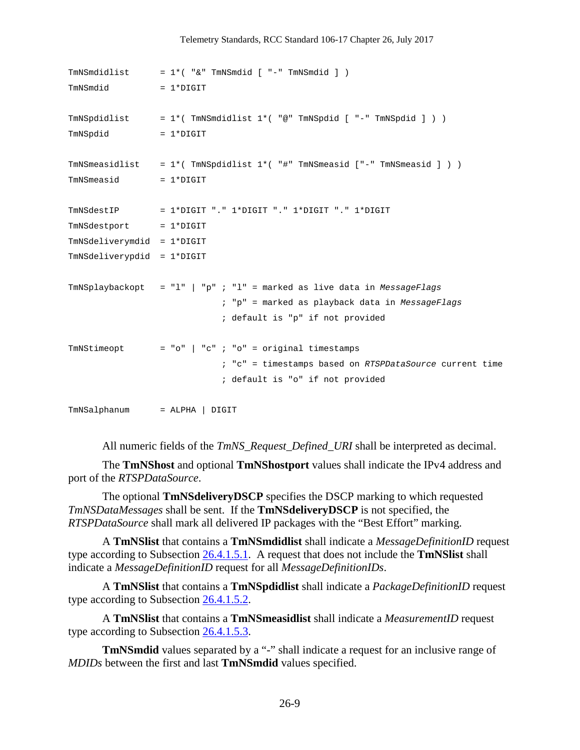```
TmNSmdidlist = 1*( "&" TmNSmdid [ "-" TmNSmdid ] ) 
TmNSmdid = 1*DIGIT 
TmNSpdidlist = 1*( TmNSmdidlist 1*( "@" TmNSpdid [ "-" TmNSpdid ] ) ) 
TmNSpdid = 1*DIGIT 
TmNSmeasidlist = 1*( TmNSpdidlist 1*( "#" TmNSmeasid ["-" TmNSmeasid ] ) ) 
TmNSmeasid = 1*DIGIT 
TmNSdestIP = 1*DIGIT "." 1*DIGIT "." 1*DIGIT "." 1*DIGIT 
TmNSdestport = 1*DIGIT 
TmNSdeliverymdid = 1*DIGIT 
TmNSdeliverypdid = 1*DIGIT 
TmNSplaybackopt = "l" | "p" ; "l" = marked as live data in MessageFlags
                             ; "p" = marked as playback data in MessageFlags 
                            ; default is "p" if not provided 
TmNStimeopt = "o" | "c" i "o" = original timestamps ; "c" = timestamps based on RTSPDataSource current time 
                            ; default is "o" if not provided 
TmNSalphanum = ALPHA | DIGIT
```
All numeric fields of the *TmNS\_Request\_Defined\_URI* shall be interpreted as decimal.

The **TmNShost** and optional **TmNShostport** values shall indicate the IPv4 address and port of the *RTSPDataSource*.

The optional **TmNSdeliveryDSCP** specifies the DSCP marking to which requested *TmNSDataMessages* shall be sent. If the **TmNSdeliveryDSCP** is not specified, the *RTSPDataSource* shall mark all delivered IP packages with the "Best Effort" marking.

A **TmNSlist** that contains a **TmNSmdidlist** shall indicate a *MessageDefinitionID* request type according to Subsection [26.4.1.5.1.](#page-14-0) A request that does not include the **TmNSlist** shall indicate a *MessageDefinitionID* request for all *MessageDefinitionIDs*.

A **TmNSlist** that contains a **TmNSpdidlist** shall indicate a *PackageDefinitionID* request type according to Subsection [26.4.1.5.2.](#page-14-1)

A **TmNSlist** that contains a **TmNSmeasidlist** shall indicate a *MeasurementID* request type according to Subsection [26.4.1.5.3.](#page-14-2)

**TmNSmdid** values separated by a "-" shall indicate a request for an inclusive range of *MDIDs* between the first and last **TmNSmdid** values specified.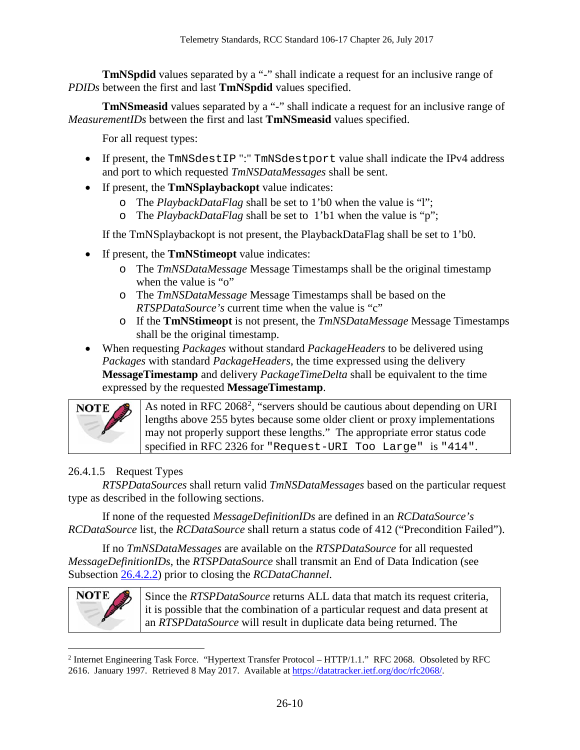**TmNSpdid** values separated by a "-" shall indicate a request for an inclusive range of *PDIDs* between the first and last **TmNSpdid** values specified.

**TmNSmeasid** values separated by a "-" shall indicate a request for an inclusive range of *MeasurementIDs* between the first and last **TmNSmeasid** values specified.

For all request types:

- If present, the TmNSdestIP ":" TmNSdestport value shall indicate the IPv4 address and port to which requested *TmNSDataMessages* shall be sent.
- If present, the **TmNSplaybackopt** value indicates:
	- o The *PlaybackDataFlag* shall be set to 1'b0 when the value is "l";
	- o The *PlaybackDataFlag* shall be set to 1'b1 when the value is "p";

If the TmNSplaybackopt is not present, the PlaybackDataFlag shall be set to 1'b0.

- If present, the **TmNStimeopt** value indicates:
	- o The *TmNSDataMessage* Message Timestamps shall be the original timestamp when the value is "o"
	- o The *TmNSDataMessage* Message Timestamps shall be based on the *RTSPDataSource's* current time when the value is "c"
	- o If the **TmNStimeopt** is not present, the *TmNSDataMessage* Message Timestamps shall be the original timestamp.
- When requesting *Packages* without standard *PackageHeaders* to be delivered using *Packages* with standard *PackageHeaders*, the time expressed using the delivery **MessageTimestamp** and delivery *PackageTimeDelta* shall be equivalent to the time expressed by the requested **MessageTimestamp**.



As noted in RFC [2](#page-13-0)068<sup>2</sup>, "servers should be cautious about depending on URI lengths above 255 bytes because some older client or proxy implementations may not properly support these lengths." The appropriate error status code specified in RFC 2326 for "Request-URI Too Large" is "414".

### <span id="page-13-1"></span>26.4.1.5 Request Types

*RTSPDataSources* shall return valid *TmNSDataMessages* based on the particular request type as described in the following sections.

If none of the requested *MessageDefinitionIDs* are defined in an *RCDataSource's RCDataSource* list, the *RCDataSource* shall return a status code of 412 ("Precondition Failed").

If no *TmNSDataMessages* are available on the *RTSPDataSource* for all requested *MessageDefinitionIDs*, the *RTSPDataSource* shall transmit an End of Data Indication (see Subsection [26.4.2.2\)](#page-16-1) prior to closing the *RCDataChannel*.



Since the *RTSPDataSource* returns ALL data that match its request criteria, it is possible that the combination of a particular request and data present at an *RTSPDataSource* will result in duplicate data being returned. The

<span id="page-13-0"></span> <sup>2</sup> Internet Engineering Task Force. "Hypertext Transfer Protocol – HTTP/1.1." RFC 2068. Obsoleted by RFC 2616. January 1997. Retrieved 8 May 2017. Available at [https://datatracker.ietf.org/doc/rfc2068/.](https://datatracker.ietf.org/doc/rfc2068/)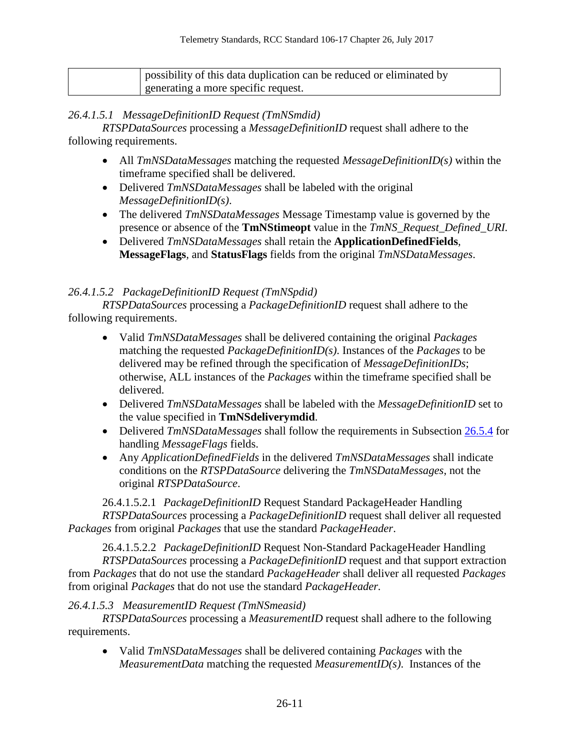| possibility of this data duplication can be reduced or eliminated by |
|----------------------------------------------------------------------|
| generating a more specific request.                                  |

### <span id="page-14-0"></span>*26.4.1.5.1 MessageDefinitionID Request (TmNSmdid)*

*RTSPDataSources* processing a *MessageDefinitionID* request shall adhere to the following requirements.

- All *TmNSDataMessages* matching the requested *MessageDefinitionID(s)* within the timeframe specified shall be delivered.
- Delivered *TmNSDataMessages* shall be labeled with the original *MessageDefinitionID(s)*.
- The delivered *TmNSDataMessages* Message Timestamp value is governed by the presence or absence of the **TmNStimeopt** value in the *TmNS\_Request\_Defined\_URI.*
- Delivered *TmNSDataMessages* shall retain the **ApplicationDefinedFields***,*  **MessageFlags***,* and **StatusFlags** fields from the original *TmNSDataMessages*.

### <span id="page-14-1"></span>*26.4.1.5.2 PackageDefinitionID Request (TmNSpdid)*

*RTSPDataSources* processing a *PackageDefinitionID* request shall adhere to the following requirements.

- Valid *TmNSDataMessages* shall be delivered containing the original *Packages*  matching the requested *PackageDefinitionID(s)*. Instances of the *Packages* to be delivered may be refined through the specification of *MessageDefinitionIDs*; otherwise, ALL instances of the *Packages* within the timeframe specified shall be delivered.
- Delivered *TmNSDataMessages* shall be labeled with the *MessageDefinitionID* set to the value specified in **TmNSdeliverymdid**.
- Delivered *TmNSDataMessages* shall follow the requirements in Subsection [26.5.4](#page-19-0) for handling *MessageFlags* fields.
- Any *ApplicationDefinedFields* in the delivered *TmNSDataMessages* shall indicate conditions on the *RTSPDataSource* delivering the *TmNSDataMessages*, not the original *RTSPDataSource*.

26.4.1.5.2.1 *PackageDefinitionID* Request Standard PackageHeader Handling *RTSPDataSources* processing a *PackageDefinitionID* request shall deliver all requested *Packages* from original *Packages* that use the standard *PackageHeader*.

26.4.1.5.2.2 *PackageDefinitionID* Request Non-Standard PackageHeader Handling *RTSPDataSources* processing a *PackageDefinitionID* request and that support extraction from *Packages* that do not use the standard *PackageHeader* shall deliver all requested *Packages*  from original *Packages* that do not use the standard *PackageHeader.*

### <span id="page-14-2"></span>*26.4.1.5.3 MeasurementID Request (TmNSmeasid)*

*RTSPDataSources* processing a *MeasurementID* request shall adhere to the following requirements.

• Valid *TmNSDataMessages* shall be delivered containing *Packages* with the *MeasurementData* matching the requested *MeasurementID(s)*. Instances of the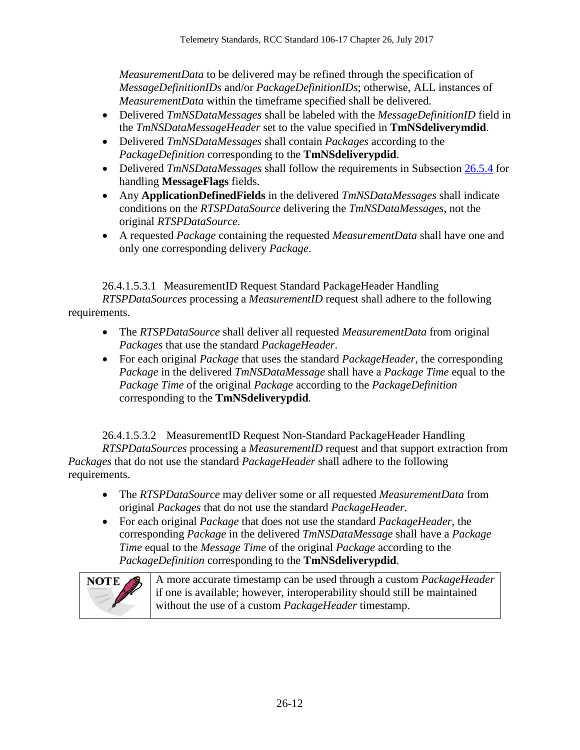*MeasurementData* to be delivered may be refined through the specification of *MessageDefinitionIDs* and/or *PackageDefinitionIDs*; otherwise, ALL instances of *MeasurementData* within the timeframe specified shall be delivered.

- Delivered *TmNSDataMessages* shall be labeled with the *MessageDefinitionID* field in the *TmNSDataMessageHeader* set to the value specified in **TmNSdeliverymdid**.
- Delivered *TmNSDataMessages* shall contain *Packages* according to the *PackageDefinition* corresponding to the **TmNSdeliverypdid**.
- Delivered *TmNSDataMessages* shall follow the requirements in Subsection [26.5.4](#page-19-0) for handling **MessageFlags** fields.
- Any **ApplicationDefinedFields** in the delivered *TmNSDataMessages* shall indicate conditions on the *RTSPDataSource* delivering the *TmNSDataMessages*, not the original *RTSPDataSource.*
- A requested *Package* containing the requested *MeasurementData* shall have one and only one corresponding delivery *Package*.

### 26.4.1.5.3.1 MeasurementID Request Standard PackageHeader Handling

*RTSPDataSources* processing a *MeasurementID* request shall adhere to the following requirements.

- The *RTSPDataSource* shall deliver all requested *MeasurementData* from original *Packages* that use the standard *PackageHeader*.
- For each original *Package* that uses the standard *PackageHeader*, the corresponding *Package* in the delivered *TmNSDataMessage* shall have a *Package Time* equal to the *Package Time* of the original *Package* according to the *PackageDefinition*  corresponding to the **TmNSdeliverypdid***.*

26.4.1.5.3.2 MeasurementID Request Non-Standard PackageHeader Handling *RTSPDataSources* processing a *MeasurementID* request and that support extraction from *Packages* that do not use the standard *PackageHeader* shall adhere to the following requirements.

- The *RTSPDataSource* may deliver some or all requested *MeasurementData* from original *Packages* that do not use the standard *PackageHeader.*
- For each original *Package* that does not use the standard *PackageHeader*, the corresponding *Package* in the delivered *TmNSDataMessage* shall have a *Package Time* equal to the *Message Time* of the original *Package* according to the *PackageDefinition* corresponding to the **TmNSdeliverypdid**.



A more accurate timestamp can be used through a custom *PackageHeader* if one is available; however, interoperability should still be maintained without the use of a custom *PackageHeader* timestamp.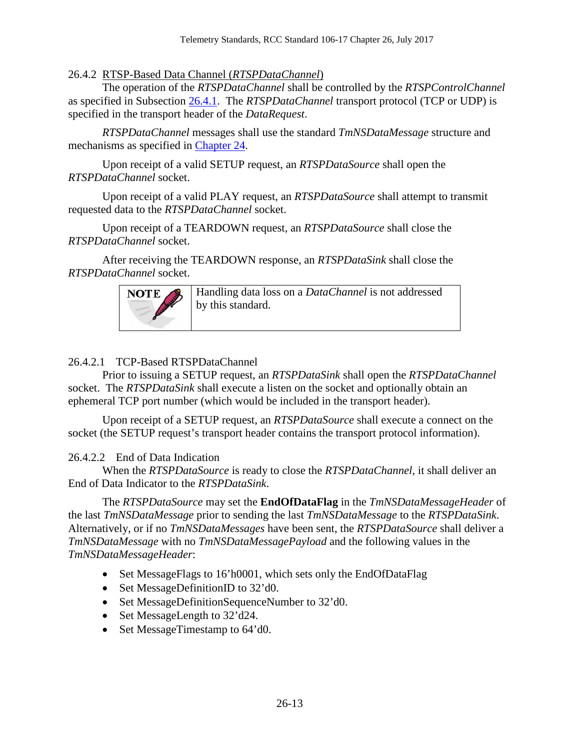<span id="page-16-0"></span>26.4.2 RTSP-Based Data Channel (*RTSPDataChannel*)

The operation of the *RTSPDataChannel* shall be controlled by the *RTSPControlChannel* as specified in Subsection [26.4.1.](#page-7-1) The *RTSPDataChannel* transport protocol (TCP or UDP) is specified in the transport header of the *DataRequest*.

*RTSPDataChannel* messages shall use the standard *TmNSDataMessage* structure and mechanisms as specified in [Chapter 24.](http://www.wsmr.army.mil/RCCsite/Documents/106-17_Telemetry_Standards/Chapter24.pdf)

Upon receipt of a valid SETUP request, an *RTSPDataSource* shall open the *RTSPDataChannel* socket.

Upon receipt of a valid PLAY request, an *RTSPDataSource* shall attempt to transmit requested data to the *RTSPDataChannel* socket.

Upon receipt of a TEARDOWN request, an *RTSPDataSource* shall close the *RTSPDataChannel* socket.

After receiving the TEARDOWN response, an *RTSPDataSink* shall close the *RTSPDataChannel* socket.



Handling data loss on a *DataChannel* is not addressed by this standard.

### 26.4.2.1 TCP-Based RTSPDataChannel

Prior to issuing a SETUP request, an *RTSPDataSink* shall open the *RTSPDataChannel* socket. The *RTSPDataSink* shall execute a listen on the socket and optionally obtain an ephemeral TCP port number (which would be included in the transport header).

Upon receipt of a SETUP request, an *RTSPDataSource* shall execute a connect on the socket (the SETUP request's transport header contains the transport protocol information).

<span id="page-16-1"></span>26.4.2.2 End of Data Indication

When the *RTSPDataSource* is ready to close the *RTSPDataChannel*, it shall deliver an End of Data Indicator to the *RTSPDataSink*.

The *RTSPDataSource* may set the **EndOfDataFlag** in the *TmNSDataMessageHeader* of the last *TmNSDataMessage* prior to sending the last *TmNSDataMessage* to the *RTSPDataSink*. Alternatively, or if no *TmNSDataMessages* have been sent, the *RTSPDataSource* shall deliver a *TmNSDataMessage* with no *TmNSDataMessagePayload* and the following values in the *TmNSDataMessageHeader*:

- Set MessageFlags to 16'h0001, which sets only the EndOfDataFlag
- Set MessageDefinitionID to 32'd0.
- Set MessageDefinitionSequenceNumber to 32'd0.
- Set MessageLength to 32'd24.
- Set MessageTimestamp to 64'd0.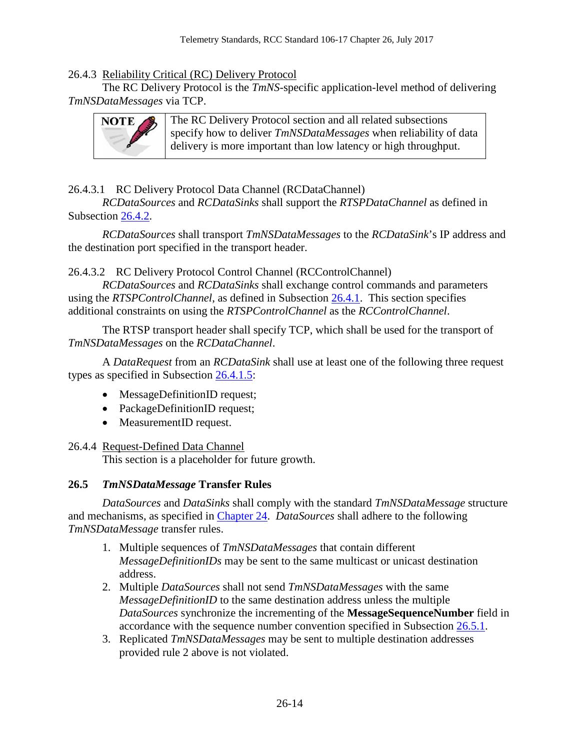### <span id="page-17-0"></span>26.4.3 Reliability Critical (RC) Delivery Protocol

The RC Delivery Protocol is the *TmNS*-specific application-level method of delivering *TmNSDataMessages* via TCP.



The RC Delivery Protocol section and all related subsections specify how to deliver *TmNSDataMessages* when reliability of data delivery is more important than low latency or high throughput.

26.4.3.1 RC Delivery Protocol Data Channel (RCDataChannel)

*RCDataSources* and *RCDataSinks* shall support the *RTSPDataChannel* as defined in Subsection [26.4.2.](#page-16-0)

*RCDataSources* shall transport *TmNSDataMessages* to the *RCDataSink*'s IP address and the destination port specified in the transport header.

26.4.3.2 RC Delivery Protocol Control Channel (RCControlChannel)

*RCDataSources* and *RCDataSinks* shall exchange control commands and parameters using the *RTSPControlChannel*, as defined in Subsection [26.4.1.](#page-7-1) This section specifies additional constraints on using the *RTSPControlChannel* as the *RCControlChannel*.

The RTSP transport header shall specify TCP, which shall be used for the transport of *TmNSDataMessages* on the *RCDataChannel*.

A *DataRequest* from an *RCDataSink* shall use at least one of the following three request types as specified in Subsection [26.4.1.5:](#page-13-1)

- MessageDefinitionID request;
- PackageDefinitionID request;
- MeasurementID request.

### <span id="page-17-1"></span>26.4.4 Request-Defined Data Channel

This section is a placeholder for future growth.

### <span id="page-17-2"></span>**26.5** *TmNSDataMessage* **Transfer Rules**

*DataSources* and *DataSinks* shall comply with the standard *TmNSDataMessage* structure and mechanisms, as specified in [Chapter 24.](http://www.wsmr.army.mil/RCCsite/Documents/106-17_Telemetry_Standards/Chapter24.pdf) *DataSources* shall adhere to the following *TmNSDataMessage* transfer rules.

- 1. Multiple sequences of *TmNSDataMessages* that contain different *MessageDefinitionIDs* may be sent to the same multicast or unicast destination address.
- 2. Multiple *DataSources* shall not send *TmNSDataMessages* with the same *MessageDefinitionID* to the same destination address unless the multiple *DataSources* synchronize the incrementing of the **MessageSequenceNumber** field in accordance with the sequence number convention specified in Subsection [26.5.1.](#page-18-0)
- 3. Replicated *TmNSDataMessages* may be sent to multiple destination addresses provided rule 2 above is not violated.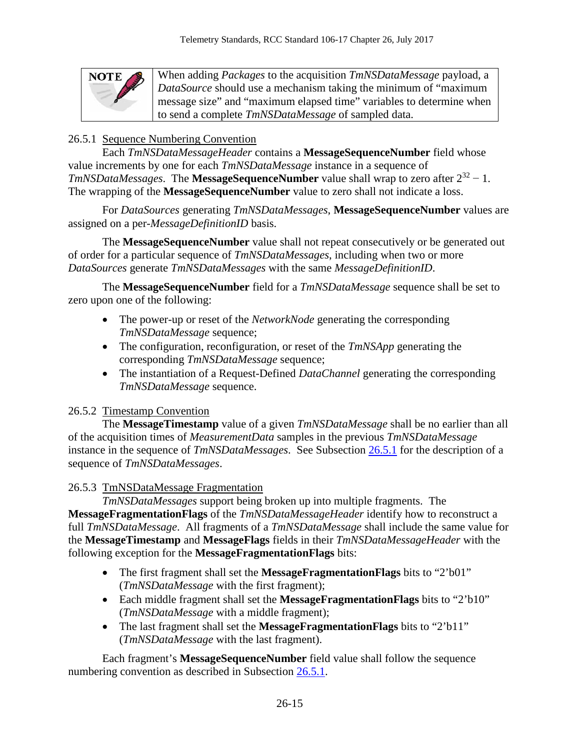

When adding *Packages* to the acquisition *TmNSDataMessage* payload, a *DataSource* should use a mechanism taking the minimum of "maximum message size" and "maximum elapsed time" variables to determine when to send a complete *TmNSDataMessage* of sampled data.

### <span id="page-18-0"></span>26.5.1 Sequence Numbering Convention

Each *TmNSDataMessageHeader* contains a **MessageSequenceNumber** field whose value increments by one for each *TmNSDataMessage* instance in a sequence of *TmNSDataMessages*. The **MessageSequenceNumber** value shall wrap to zero after  $2^{32} - 1$ . The wrapping of the **MessageSequenceNumber** value to zero shall not indicate a loss.

For *DataSources* generating *TmNSDataMessages*, **MessageSequenceNumber** values are assigned on a per-*MessageDefinitionID* basis.

The **MessageSequenceNumber** value shall not repeat consecutively or be generated out of order for a particular sequence of *TmNSDataMessages*, including when two or more *DataSources* generate *TmNSDataMessages* with the same *MessageDefinitionID*.

The **MessageSequenceNumber** field for a *TmNSDataMessage* sequence shall be set to zero upon one of the following:

- The power-up or reset of the *NetworkNode* generating the corresponding *TmNSDataMessage* sequence;
- The configuration, reconfiguration, or reset of the *TmNSApp* generating the corresponding *TmNSDataMessage* sequence;
- The instantiation of a Request-Defined *DataChannel* generating the corresponding *TmNSDataMessage* sequence.

### <span id="page-18-1"></span>26.5.2 Timestamp Convention

The **MessageTimestamp** value of a given *TmNSDataMessage* shall be no earlier than all of the acquisition times of *MeasurementData* samples in the previous *TmNSDataMessage*  instance in the sequence of *TmNSDataMessages*. See Subsection [26.5.1](#page-18-0) for the description of a sequence of *TmNSDataMessages*.

### <span id="page-18-2"></span>26.5.3 TmNSDataMessage Fragmentation

*TmNSDataMessages* support being broken up into multiple fragments. The **MessageFragmentationFlags** of the *TmNSDataMessageHeader* identify how to reconstruct a full *TmNSDataMessage*. All fragments of a *TmNSDataMessage* shall include the same value for the **MessageTimestamp** and **MessageFlags** fields in their *TmNSDataMessageHeader* with the following exception for the **MessageFragmentationFlags** bits:

- The first fragment shall set the **MessageFragmentationFlags** bits to "2'b01" (*TmNSDataMessage* with the first fragment);
- Each middle fragment shall set the **MessageFragmentationFlags** bits to "2'b10" (*TmNSDataMessage* with a middle fragment);
- The last fragment shall set the **MessageFragmentationFlags** bits to "2'b11" (*TmNSDataMessage* with the last fragment).

Each fragment's **MessageSequenceNumber** field value shall follow the sequence numbering convention as described in Subsection [26.5.1.](#page-18-0)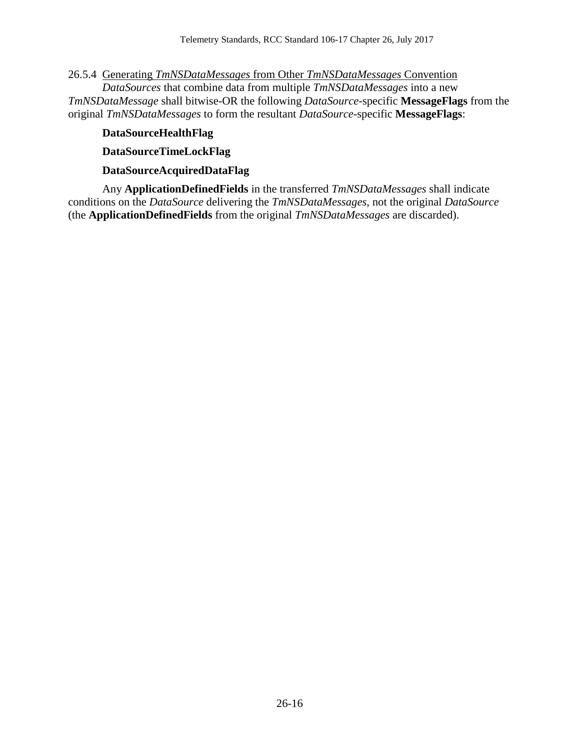<span id="page-19-0"></span>26.5.4 Generating *TmNSDataMessages* from Other *TmNSDataMessages* Convention

*DataSources* that combine data from multiple *TmNSDataMessages* into a new *TmNSDataMessage* shall bitwise-OR the following *DataSource*-specific **MessageFlags** from the original *TmNSDataMessages* to form the resultant *DataSource*-specific **MessageFlags**:

### **DataSourceHealthFlag**

**DataSourceTimeLockFlag**

### **DataSourceAcquiredDataFlag**

Any **ApplicationDefinedFields** in the transferred *TmNSDataMessages* shall indicate conditions on the *DataSource* delivering the *TmNSDataMessages*, not the original *DataSource* (the **ApplicationDefinedFields** from the original *TmNSDataMessages* are discarded).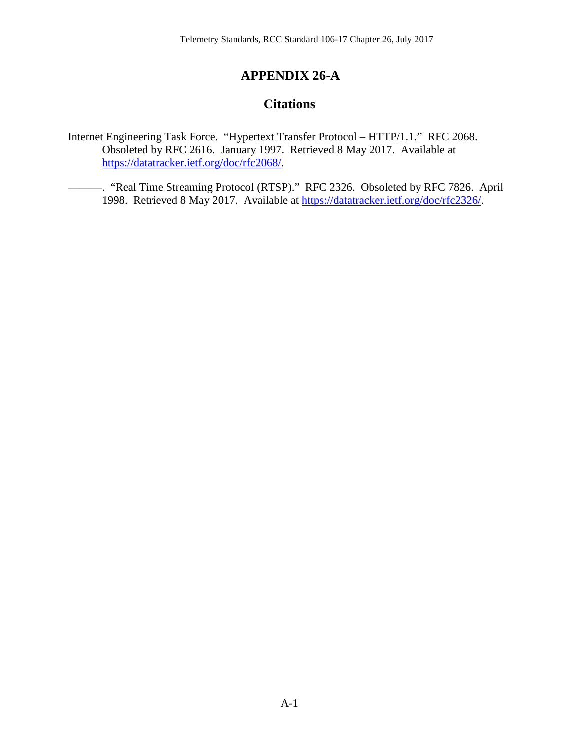## **APPENDIX 26-A**

### <span id="page-20-0"></span>**Citations**

Internet Engineering Task Force. "Hypertext Transfer Protocol – HTTP/1.1." RFC 2068. Obsoleted by RFC 2616. January 1997. Retrieved 8 May 2017. Available at [https://datatracker.ietf.org/doc/rfc2068/.](https://datatracker.ietf.org/doc/rfc2068/)

———. "Real Time Streaming Protocol (RTSP)." RFC 2326. Obsoleted by RFC 7826. April 1998. Retrieved 8 May 2017. Available at [https://datatracker.ietf.org/doc/rfc2326/.](https://datatracker.ietf.org/doc/rfc2326/)